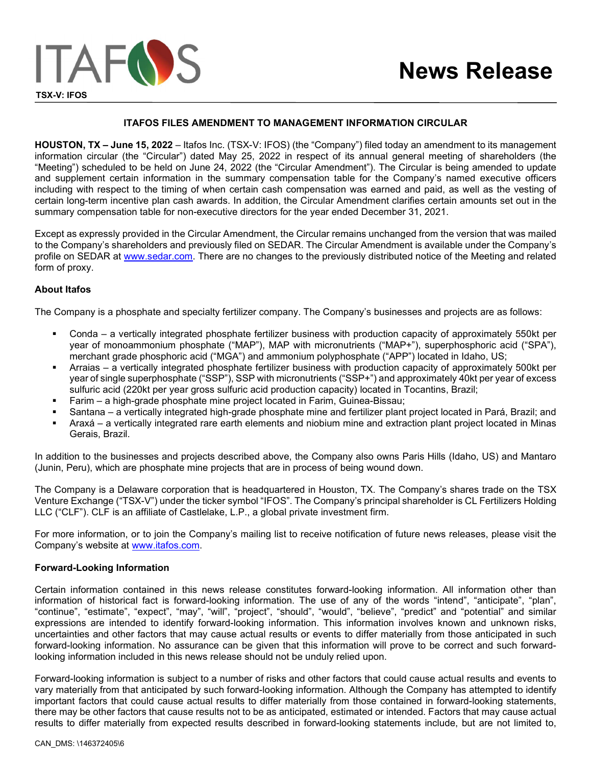

## ITAFOS FILES AMENDMENT TO MANAGEMENT INFORMATION CIRCULAR

HOUSTON, TX – June 15, 2022 – Itafos Inc. (TSX-V: IFOS) (the "Company") filed today an amendment to its management information circular (the "Circular") dated May 25, 2022 in respect of its annual general meeting of shareholders (the "Meeting") scheduled to be held on June 24, 2022 (the "Circular Amendment"). The Circular is being amended to update and supplement certain information in the summary compensation table for the Company's named executive officers including with respect to the timing of when certain cash compensation was earned and paid, as well as the vesting of certain long-term incentive plan cash awards. In addition, the Circular Amendment clarifies certain amounts set out in the summary compensation table for non-executive directors for the year ended December 31, 2021.

Except as expressly provided in the Circular Amendment, the Circular remains unchanged from the version that was mailed to the Company's shareholders and previously filed on SEDAR. The Circular Amendment is available under the Company's profile on SEDAR at www.sedar.com. There are no changes to the previously distributed notice of the Meeting and related form of proxy.

## About Itafos

The Company is a phosphate and specialty fertilizer company. The Company's businesses and projects are as follows:

- Conda a vertically integrated phosphate fertilizer business with production capacity of approximately 550kt per year of monoammonium phosphate ("MAP"), MAP with micronutrients ("MAP+"), superphosphoric acid ("SPA"), merchant grade phosphoric acid ("MGA") and ammonium polyphosphate ("APP") located in Idaho, US;
- Arraias a vertically integrated phosphate fertilizer business with production capacity of approximately 500kt per year of single superphosphate ("SSP"), SSP with micronutrients ("SSP+") and approximately 40kt per year of excess sulfuric acid (220kt per year gross sulfuric acid production capacity) located in Tocantins, Brazil;
- Farim a high-grade phosphate mine project located in Farim, Guinea-Bissau;
- Santana a vertically integrated high-grade phosphate mine and fertilizer plant project located in Pará, Brazil; and
- Araxá a vertically integrated rare earth elements and niobium mine and extraction plant project located in Minas Gerais, Brazil.

In addition to the businesses and projects described above, the Company also owns Paris Hills (Idaho, US) and Mantaro (Junin, Peru), which are phosphate mine projects that are in process of being wound down.

The Company is a Delaware corporation that is headquartered in Houston, TX. The Company's shares trade on the TSX Venture Exchange ("TSX-V") under the ticker symbol "IFOS". The Company's principal shareholder is CL Fertilizers Holding LLC ("CLF"). CLF is an affiliate of Castlelake, L.P., a global private investment firm.

For more information, or to join the Company's mailing list to receive notification of future news releases, please visit the Company's website at www.itafos.com.

## Forward-Looking Information

Certain information contained in this news release constitutes forward-looking information. All information other than information of historical fact is forward-looking information. The use of any of the words "intend", "anticipate", "plan", "continue", "estimate", "expect", "may", "will", "project", "should", "would", "believe", "predict" and "potential" and similar expressions are intended to identify forward-looking information. This information involves known and unknown risks, uncertainties and other factors that may cause actual results or events to differ materially from those anticipated in such forward-looking information. No assurance can be given that this information will prove to be correct and such forwardlooking information included in this news release should not be unduly relied upon.

Forward-looking information is subject to a number of risks and other factors that could cause actual results and events to vary materially from that anticipated by such forward-looking information. Although the Company has attempted to identify important factors that could cause actual results to differ materially from those contained in forward-looking statements, there may be other factors that cause results not to be as anticipated, estimated or intended. Factors that may cause actual results to differ materially from expected results described in forward-looking statements include, but are not limited to,